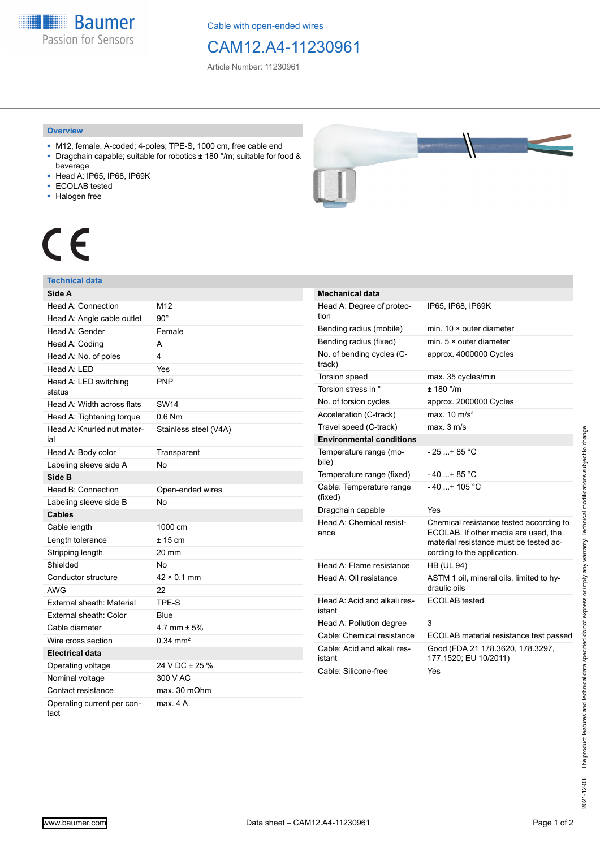**Baumer** Passion for Sensors

Cable with open-ended wires

## CAM12.A4-11230961

Article Number: 11230961

#### **Overview**

- M12, female, A-coded; 4-poles; TPE-S, 1000 cm, free cable end ■ Dragchain capable; suitable for robotics ± 180 °/m; suitable for food &
- beverage
- Head A: IP65, IP68, IP69K
- ECOLAB tested
- Halogen free



# $\epsilon$

#### **Technical data**

| Side A                             |                       |
|------------------------------------|-----------------------|
| Head A: Connection                 | M12                   |
| Head A: Angle cable outlet         | $90^{\circ}$          |
| Head A: Gender                     | Female                |
| Head A: Coding                     | A                     |
| Head A: No. of poles               | 4                     |
| Head A: LED                        | Yes                   |
| Head A: LED switching<br>status    | PNP                   |
| Head A: Width across flats         | <b>SW14</b>           |
| Head A: Tightening torque          | $0.6$ Nm              |
| Head A: Knurled nut mater-<br>ial  | Stainless steel (V4A) |
| Head A: Body color                 | Transparent           |
| Labeling sleeve side A             | <b>No</b>             |
| Side B                             |                       |
| Head B: Connection                 | Open-ended wires      |
| Labeling sleeve side B             | No                    |
| <b>Cables</b>                      |                       |
| Cable length                       | 1000 cm               |
| Length tolerance                   | ± 15 cm               |
| Stripping length                   | 20 mm                 |
| Shielded                           | No                    |
| Conductor structure                | $42 \times 0.1$ mm    |
| <b>AWG</b>                         | 22                    |
| External sheath: Material          | TPE-S                 |
| External sheath: Color             | Blue                  |
| Cable diameter                     | 4.7 mm $\pm$ 5%       |
| Wire cross section                 | $0.34 \, \text{mm}^2$ |
| <b>Electrical data</b>             |                       |
| Operating voltage                  | 24 V DC ± 25 %        |
| Nominal voltage                    | 300 V AC              |
| Contact resistance                 | max. 30 mOhm          |
| Operating current per con-<br>tact | max. 4 A              |

| <b>Mechanical data</b>                 |                                                                                                                                                          |
|----------------------------------------|----------------------------------------------------------------------------------------------------------------------------------------------------------|
| Head A: Degree of protec-<br>tion      | IP65, IP68, IP69K                                                                                                                                        |
| Bending radius (mobile)                | min. $10 \times$ outer diameter                                                                                                                          |
| Bending radius (fixed)                 | min. $5 \times$ outer diameter                                                                                                                           |
| No. of bending cycles (C-<br>track)    | approx. 4000000 Cycles                                                                                                                                   |
| <b>Torsion speed</b>                   | max. 35 cycles/min                                                                                                                                       |
| Torsion stress in °                    | ± 180 °/m                                                                                                                                                |
| No. of torsion cycles                  | approx. 2000000 Cycles                                                                                                                                   |
| Acceleration (C-track)                 | max. $10 \text{ m/s}^2$                                                                                                                                  |
| Travel speed (C-track)                 | max. 3 m/s                                                                                                                                               |
| <b>Environmental conditions</b>        |                                                                                                                                                          |
| Temperature range (mo-<br>bile)        | $-25+85 °C$                                                                                                                                              |
| Temperature range (fixed)              | $-40+85 °C$                                                                                                                                              |
| Cable: Temperature range<br>(fixed)    | $-40+105 °C$                                                                                                                                             |
| Dragchain capable                      | Yes                                                                                                                                                      |
| Head A: Chemical resist-<br>ance       | Chemical resistance tested according to<br>ECOLAB. If other media are used, the<br>material resistance must be tested ac-<br>cording to the application. |
| Head A: Flame resistance               | <b>HB (UL 94)</b>                                                                                                                                        |
| Head A: Oil resistance                 | ASTM 1 oil, mineral oils, limited to hy-<br>draulic oils                                                                                                 |
| Head A: Acid and alkali res-<br>istant | <b>ECOLAB</b> tested                                                                                                                                     |
| Head A: Pollution degree               | 3                                                                                                                                                        |
| Cable: Chemical resistance             | ECOLAB material resistance test passed                                                                                                                   |
| Cable: Acid and alkali res-<br>istant  | Good (FDA 21 178.3620, 178.3297,<br>177.1520; EU 10/2011)                                                                                                |
| Cable: Silicone-free                   | Yes                                                                                                                                                      |